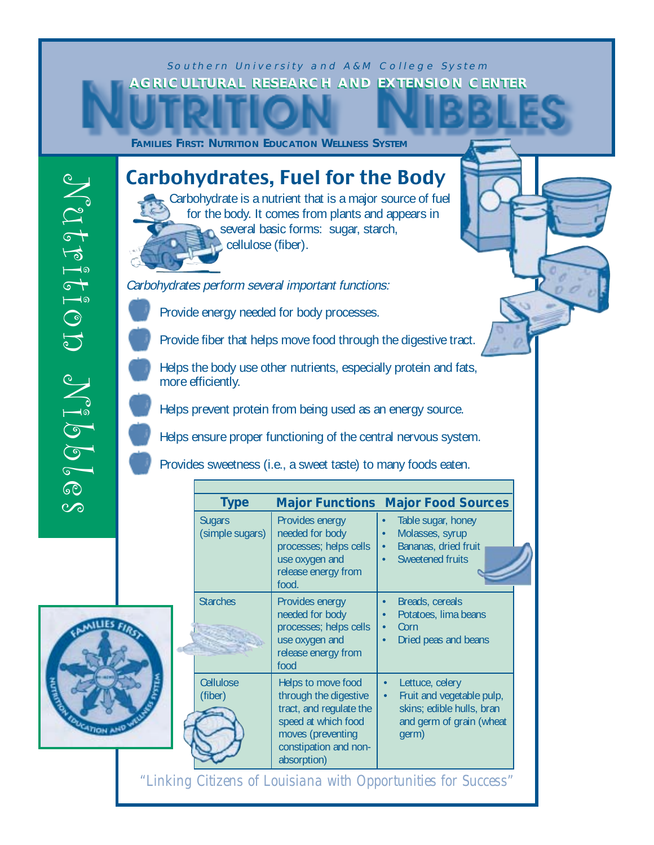## Southern University and A&M College System **AAGRICULTURAL RESEARCH AND EXTENSION CENTER GRICULTURAL RESEARCH AND EXTENSION CENTER**

**FAMILIES FIRST: NUTRITION EDUCATION WELLNESS SYSTEM**

## Nutrition Nibbles  $\overline{\mathsf{S}}$  $\sum_{i=1}^{n}$  $\begin{array}{c}\n\bullet \\
\hline\n\bullet\n\end{array}$  $\bigodot$  $\sqrt{2}$  $\int_{\mathbb{R}} \left[ \int_0^{\mathbb{S}} \right] d\mathbb{R}$  $\sigma$  $\odot$  $\infty$



Carbohydrates, Fuel for the Body Carbohydrate is a nutrient that is a major source of fuel for the body. It comes from plants and appears in several basic forms: sugar, starch, cellulose (fiber).

Carbohydrates perform several important functions:

Provide energy needed for body processes.

Provide fiber that helps move food through the digestive tract.

Helps the body use other nutrients, especially protein and fats, more efficiently.

Helps prevent protein from being used as an energy source.

Helps ensure proper functioning of the central nervous system.

Provides sweetness (i.e., a sweet taste) to many foods eaten.

| <b>Type</b>                      | <b>Major Functions</b>                                                                                                                                     | <b>Major Food Sources</b>                                                                                           |
|----------------------------------|------------------------------------------------------------------------------------------------------------------------------------------------------------|---------------------------------------------------------------------------------------------------------------------|
| <b>Sugars</b><br>(simple sugars) | Provides energy<br>needed for body<br>processes; helps cells<br>use oxygen and<br>release energy from<br>food.                                             | Table sugar, honey<br>Molasses, syrup<br>Bananas, dried fruit<br>$\bullet$<br>Sweetened fruits                      |
| <b>Starches</b>                  | Provides energy<br>needed for body<br>processes; helps cells<br>use oxygen and<br>release energy from<br>food                                              | Breads, cereals<br>Potatoes, lima beans<br>Corn<br>٠<br>Dried peas and beans                                        |
| Cellulose<br>(fiber)             | Helps to move food<br>through the digestive<br>tract, and regulate the<br>speed at which food<br>moves (preventing<br>constipation and non-<br>absorption) | Lettuce, celery<br>Fruit and vegetable pulp,<br>٠<br>skins; edible hulls, bran<br>and germ of grain (wheat<br>germ) |

"Linking Citizens of Louisiana with Opportunities for Success"